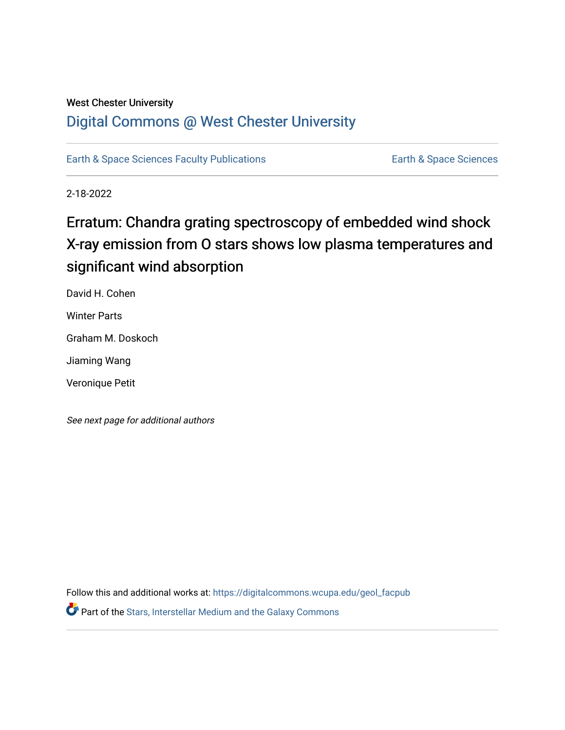## West Chester University

# [Digital Commons @ West Chester University](https://digitalcommons.wcupa.edu/)

[Earth & Space Sciences Faculty Publications](https://digitalcommons.wcupa.edu/geol_facpub) **Earth & Space Sciences** 

2-18-2022

# Erratum: Chandra grating spectroscopy of embedded wind shock X-ray emission from O stars shows low plasma temperatures and significant wind absorption

David H. Cohen

Winter Parts

Graham M. Doskoch

Jiaming Wang

Veronique Petit

See next page for additional authors

Follow this and additional works at: [https://digitalcommons.wcupa.edu/geol\\_facpub](https://digitalcommons.wcupa.edu/geol_facpub?utm_source=digitalcommons.wcupa.edu%2Fgeol_facpub%2F26&utm_medium=PDF&utm_campaign=PDFCoverPages)  **P** Part of the Stars, Interstellar Medium and the Galaxy Commons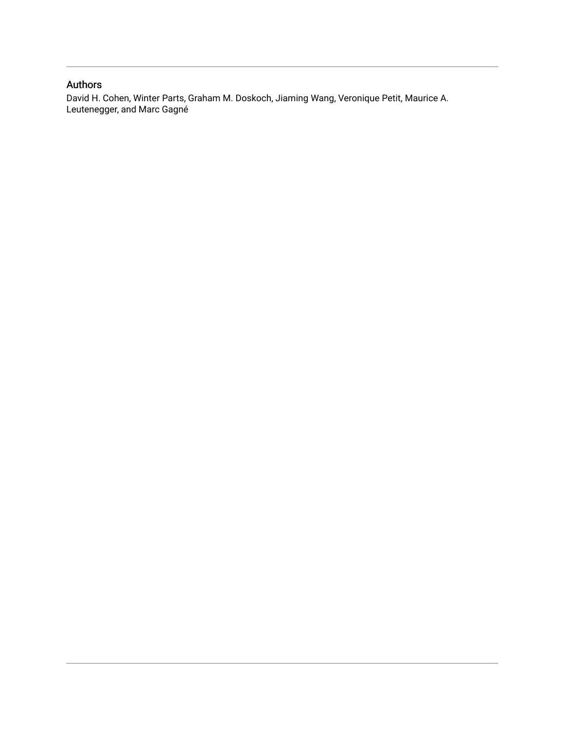### Authors

David H. Cohen, Winter Parts, Graham M. Doskoch, Jiaming Wang, Veronique Petit, Maurice A. Leutenegger, and Marc Gagné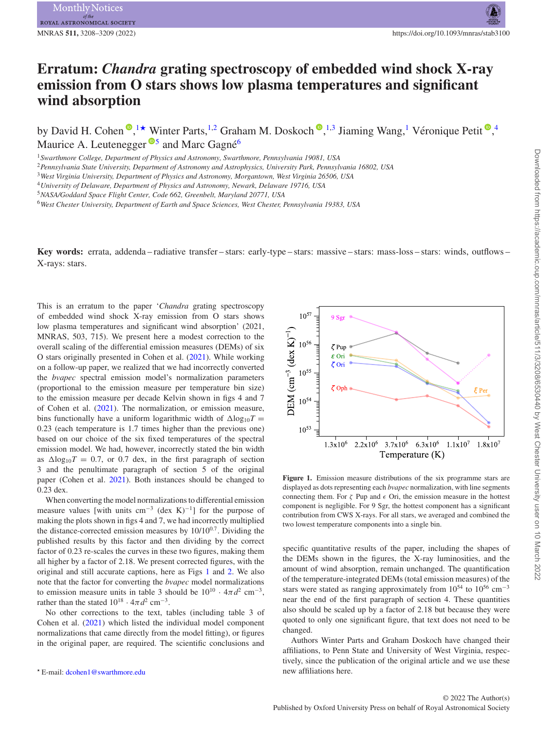## **Erratum:** *Chandra* **grating spectroscopy of embedded wind shock X-ray emission from O stars shows low plasma temperatures and significant wind absorption**

by David H. Cohen <sup>®</sup>[,](http://orcid.org/0000-0002-5633-7548)<sup>[1](#page-2-0)</sup>★ Winter Parts,<sup>1[,2](#page-2-2)</sup> Graham M. Doskoch ®,<sup>1[,3](#page-2-3)</sup> Jiaming Wang,<sup>1</sup> Véronique Petit ®,<sup>[4](#page-2-4)</sup> Maurice A. Leutenegger  $\mathbb{S}^5$  $\mathbb{S}^5$  and Marc Gagné<sup>[6](#page-2-6)</sup>

<span id="page-2-0"></span><sup>1</sup>*Swarthmore College, Department of Physics and Astronomy, Swarthmore, Pennsylvania 19081, USA*

<span id="page-2-2"></span><sup>2</sup>*Pennsylvania State University, Department of Astronomy and Astrophysics, University Park, Pennsylvania 16802, USA*

<span id="page-2-3"></span><sup>3</sup>*West Virginia University, Department of Physics and Astronomy, Morgantown, West Virginia 26506, USA*

<span id="page-2-4"></span><sup>4</sup>*University of Delaware, Department of Physics and Astronomy, Newark, Delaware 19716, USA*

<span id="page-2-5"></span><sup>5</sup>*NASA/Goddard Space Flight Center, Code 662, Greenbelt, Maryland 20771, USA*

<span id="page-2-6"></span><sup>6</sup>*West Chester University, Department of Earth and Space Sciences, West Chester, Pennsylvania 19383, USA*

**Key words:** errata, addenda – radiative transfer – stars: early-type – stars: massive – stars: mass-loss – stars: winds, outflows – X-rays: stars.

This is an erratum to the paper '*Chandra* grating spectroscopy of embedded wind shock X-ray emission from O stars shows low plasma temperatures and significant wind absorption' (2021, MNRAS, 503, 715). We present here a modest correction to the overall scaling of the differential emission measures (DEMs) of six O stars originally presented in Cohen et al. [\(2021\)](#page-3-0). While working on a follow-up paper, we realized that we had incorrectly converted the *bvapec* spectral emission model's normalization parameters (proportional to the emission measure per temperature bin size) to the emission measure per decade Kelvin shown in figs 4 and 7 of Cohen et al. [\(2021\)](#page-3-0). The normalization, or emission measure, bins functionally have a uniform logarithmic width of  $\Delta$ log<sub>10</sub>*T* = 0.23 (each temperature is 1.7 times higher than the previous one) based on our choice of the six fixed temperatures of the spectral emission model. We had, however, incorrectly stated the bin width as  $\Delta$ log<sub>10</sub>*T* = 0.7, or 0.7 dex, in the first paragraph of section 3 and the penultimate paragraph of section 5 of the original paper (Cohen et al. [2021\)](#page-3-0). Both instances should be changed to 0.23 dex.

When converting the model normalizationsto differential emission measure values [with units cm<sup>-3</sup> (dex K)<sup>-1</sup>] for the purpose of making the plots shown in figs 4 and 7, we had incorrectly multiplied the distance-corrected emission measures by  $10/10^{0.7}$ . Dividing the published results by this factor and then dividing by the correct factor of 0.23 re-scales the curves in these two figures, making them all higher by a factor of 2.18. We present corrected figures, with the original and still accurate captions, here as Figs [1](#page-2-7) and [2.](#page-3-1) We also note that the factor for converting the *bvapec* model normalizations to emission measure units in table 3 should be  $10^{10} \cdot 4\pi d^2$  cm<sup>-3</sup>, rather than the stated  $10^{18} \cdot 4\pi d^2$  cm<sup>-3</sup>.

No other corrections to the text, tables (including table 3 of Cohen et al. [\(2021\)](#page-3-0) which listed the individual model component normalizations that came directly from the model fitting), or figures in the original paper, are required. The scientific conclusions and

<span id="page-2-7"></span>

**Figure 1.** Emission measure distributions of the six programme stars are displayed as dots representing each *bvapec* normalization, with line segments connecting them. For  $\zeta$  Pup and  $\epsilon$  Ori, the emission measure in the hottest component is negligible. For 9 Sgr, the hottest component has a significant contribution from CWS X-rays. For all stars, we averaged and combined the two lowest temperature components into a single bin.

specific quantitative results of the paper, including the shapes of the DEMs shown in the figures, the X-ray luminosities, and the amount of wind absorption, remain unchanged. The quantification of the temperature-integrated DEMs (total emission measures) of the stars were stated as ranging approximately from 10<sup>54</sup> to 10<sup>56</sup> cm<sup>−3</sup> near the end of the first paragraph of section 4. These quantities also should be scaled up by a factor of 2.18 but because they were quoted to only one significant figure, that text does not need to be changed.

Authors Winter Parts and Graham Doskoch have changed their affiliations, to Penn State and University of West Virginia, respectively, since the publication of the original article and we use these new affiliations here.

<span id="page-2-1"></span>E-mail: [dcohen1@swarthmore.edu](mailto:dcohen1@swarthmore.edu)